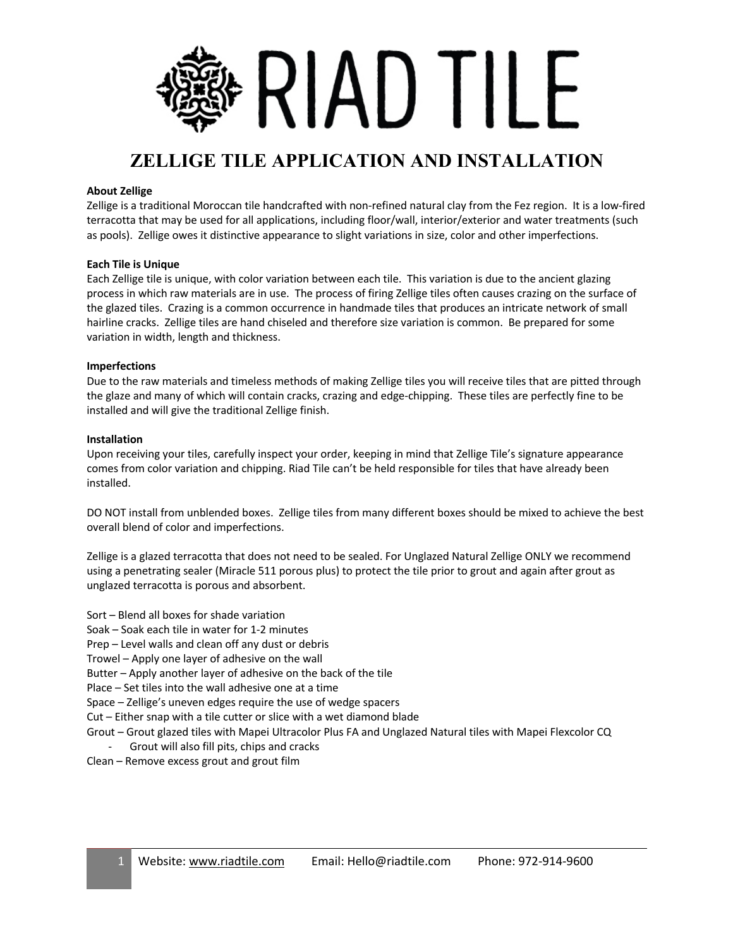

# **ZELLIGE TILE APPLICATION AND INSTALLATION**

# **About Zellige**

Zellige is a traditional Moroccan tile handcrafted with non-refined natural clay from the Fez region. It is a low-fired terracotta that may be used for all applications, including floor/wall, interior/exterior and water treatments (such as pools). Zellige owes it distinctive appearance to slight variations in size, color and other imperfections.

## **Each Tile is Unique**

Each Zellige tile is unique, with color variation between each tile. This variation is due to the ancient glazing process in which raw materials are in use. The process of firing Zellige tiles often causes crazing on the surface of the glazed tiles. Crazing is a common occurrence in handmade tiles that produces an intricate network of small hairline cracks. Zellige tiles are hand chiseled and therefore size variation is common. Be prepared for some variation in width, length and thickness.

## **Imperfections**

Due to the raw materials and timeless methods of making Zellige tiles you will receive tiles that are pitted through the glaze and many of which will contain cracks, crazing and edge-chipping. These tiles are perfectly fine to be installed and will give the traditional Zellige finish.

#### **Installation**

Upon receiving your tiles, carefully inspect your order, keeping in mind that Zellige Tile's signature appearance comes from color variation and chipping. Riad Tile can't be held responsible for tiles that have already been installed.

DO NOT install from unblended boxes. Zellige tiles from many different boxes should be mixed to achieve the best overall blend of color and imperfections.

Zellige is a glazed terracotta that does not need to be sealed. For Unglazed Natural Zellige ONLY we recommend using a penetrating sealer (Miracle 511 porous plus) to protect the tile prior to grout and again after grout as unglazed terracotta is porous and absorbent.

- Sort Blend all boxes for shade variation
- Soak Soak each tile in water for 1-2 minutes

Prep – Level walls and clean off any dust or debris

Trowel – Apply one layer of adhesive on the wall

Butter – Apply another layer of adhesive on the back of the tile

Place – Set tiles into the wall adhesive one at a time

Space – Zellige's uneven edges require the use of wedge spacers

Cut – Either snap with a tile cutter or slice with a wet diamond blade

Grout – Grout glazed tiles with Mapei Ultracolor Plus FA and Unglazed Natural tiles with Mapei Flexcolor CQ

- Grout will also fill pits, chips and cracks
- Clean Remove excess grout and grout film